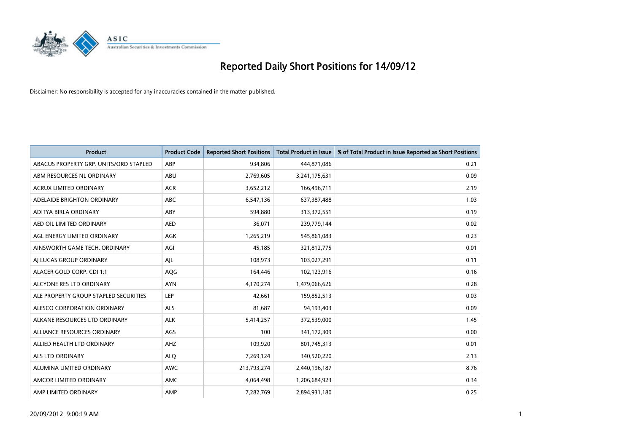

| <b>Product</b>                         | <b>Product Code</b> | <b>Reported Short Positions</b> | <b>Total Product in Issue</b> | % of Total Product in Issue Reported as Short Positions |
|----------------------------------------|---------------------|---------------------------------|-------------------------------|---------------------------------------------------------|
| ABACUS PROPERTY GRP. UNITS/ORD STAPLED | ABP                 | 934,806                         | 444,871,086                   | 0.21                                                    |
| ABM RESOURCES NL ORDINARY              | ABU                 | 2,769,605                       | 3,241,175,631                 | 0.09                                                    |
| <b>ACRUX LIMITED ORDINARY</b>          | <b>ACR</b>          | 3,652,212                       | 166,496,711                   | 2.19                                                    |
| ADELAIDE BRIGHTON ORDINARY             | ABC                 | 6,547,136                       | 637,387,488                   | 1.03                                                    |
| ADITYA BIRLA ORDINARY                  | ABY                 | 594,880                         | 313,372,551                   | 0.19                                                    |
| AED OIL LIMITED ORDINARY               | <b>AED</b>          | 36,071                          | 239,779,144                   | 0.02                                                    |
| AGL ENERGY LIMITED ORDINARY            | <b>AGK</b>          | 1,265,219                       | 545,861,083                   | 0.23                                                    |
| AINSWORTH GAME TECH. ORDINARY          | AGI                 | 45,185                          | 321,812,775                   | 0.01                                                    |
| AI LUCAS GROUP ORDINARY                | AJL                 | 108,973                         | 103,027,291                   | 0.11                                                    |
| ALACER GOLD CORP. CDI 1:1              | AQG                 | 164,446                         | 102,123,916                   | 0.16                                                    |
| ALCYONE RES LTD ORDINARY               | <b>AYN</b>          | 4,170,274                       | 1,479,066,626                 | 0.28                                                    |
| ALE PROPERTY GROUP STAPLED SECURITIES  | LEP                 | 42,661                          | 159,852,513                   | 0.03                                                    |
| ALESCO CORPORATION ORDINARY            | <b>ALS</b>          | 81,687                          | 94,193,403                    | 0.09                                                    |
| ALKANE RESOURCES LTD ORDINARY          | <b>ALK</b>          | 5,414,257                       | 372,539,000                   | 1.45                                                    |
| ALLIANCE RESOURCES ORDINARY            | AGS                 | 100                             | 341,172,309                   | 0.00                                                    |
| ALLIED HEALTH LTD ORDINARY             | AHZ                 | 109,920                         | 801,745,313                   | 0.01                                                    |
| ALS LTD ORDINARY                       | <b>ALO</b>          | 7,269,124                       | 340,520,220                   | 2.13                                                    |
| ALUMINA LIMITED ORDINARY               | <b>AWC</b>          | 213,793,274                     | 2,440,196,187                 | 8.76                                                    |
| AMCOR LIMITED ORDINARY                 | <b>AMC</b>          | 4,064,498                       | 1,206,684,923                 | 0.34                                                    |
| AMP LIMITED ORDINARY                   | AMP                 | 7,282,769                       | 2,894,931,180                 | 0.25                                                    |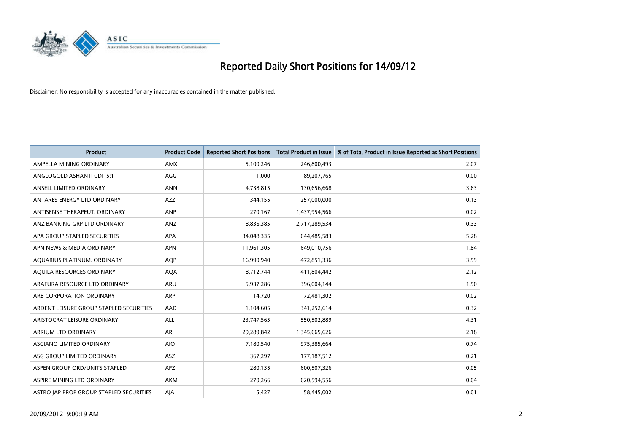

| <b>Product</b>                          | <b>Product Code</b> | <b>Reported Short Positions</b> | <b>Total Product in Issue</b> | % of Total Product in Issue Reported as Short Positions |
|-----------------------------------------|---------------------|---------------------------------|-------------------------------|---------------------------------------------------------|
| AMPELLA MINING ORDINARY                 | <b>AMX</b>          | 5,100,246                       | 246,800,493                   | 2.07                                                    |
| ANGLOGOLD ASHANTI CDI 5:1               | AGG                 | 1,000                           | 89,207,765                    | 0.00                                                    |
| ANSELL LIMITED ORDINARY                 | <b>ANN</b>          | 4,738,815                       | 130,656,668                   | 3.63                                                    |
| ANTARES ENERGY LTD ORDINARY             | <b>AZZ</b>          | 344,155                         | 257,000,000                   | 0.13                                                    |
| ANTISENSE THERAPEUT, ORDINARY           | <b>ANP</b>          | 270,167                         | 1,437,954,566                 | 0.02                                                    |
| ANZ BANKING GRP LTD ORDINARY            | ANZ                 | 8,836,385                       | 2,717,289,534                 | 0.33                                                    |
| APA GROUP STAPLED SECURITIES            | <b>APA</b>          | 34,048,335                      | 644,485,583                   | 5.28                                                    |
| APN NEWS & MEDIA ORDINARY               | <b>APN</b>          | 11,961,305                      | 649,010,756                   | 1.84                                                    |
| AQUARIUS PLATINUM. ORDINARY             | <b>AOP</b>          | 16,990,940                      | 472,851,336                   | 3.59                                                    |
| AQUILA RESOURCES ORDINARY               | <b>AQA</b>          | 8,712,744                       | 411,804,442                   | 2.12                                                    |
| ARAFURA RESOURCE LTD ORDINARY           | <b>ARU</b>          | 5,937,286                       | 396,004,144                   | 1.50                                                    |
| ARB CORPORATION ORDINARY                | <b>ARP</b>          | 14,720                          | 72,481,302                    | 0.02                                                    |
| ARDENT LEISURE GROUP STAPLED SECURITIES | AAD                 | 1,104,605                       | 341,252,614                   | 0.32                                                    |
| ARISTOCRAT LEISURE ORDINARY             | <b>ALL</b>          | 23,747,565                      | 550,502,889                   | 4.31                                                    |
| ARRIUM LTD ORDINARY                     | ARI                 | 29,289,842                      | 1,345,665,626                 | 2.18                                                    |
| ASCIANO LIMITED ORDINARY                | <b>AIO</b>          | 7,180,540                       | 975,385,664                   | 0.74                                                    |
| ASG GROUP LIMITED ORDINARY              | ASZ                 | 367,297                         | 177, 187, 512                 | 0.21                                                    |
| ASPEN GROUP ORD/UNITS STAPLED           | <b>APZ</b>          | 280,135                         | 600,507,326                   | 0.05                                                    |
| ASPIRE MINING LTD ORDINARY              | <b>AKM</b>          | 270,266                         | 620,594,556                   | 0.04                                                    |
| ASTRO JAP PROP GROUP STAPLED SECURITIES | AJA                 | 5,427                           | 58,445,002                    | 0.01                                                    |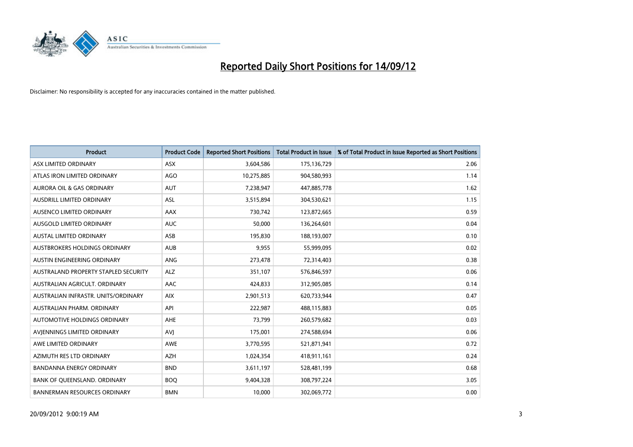

| <b>Product</b>                       | <b>Product Code</b> | <b>Reported Short Positions</b> | <b>Total Product in Issue</b> | % of Total Product in Issue Reported as Short Positions |
|--------------------------------------|---------------------|---------------------------------|-------------------------------|---------------------------------------------------------|
| ASX LIMITED ORDINARY                 | <b>ASX</b>          | 3,604,586                       | 175,136,729                   | 2.06                                                    |
| ATLAS IRON LIMITED ORDINARY          | <b>AGO</b>          | 10,275,885                      | 904,580,993                   | 1.14                                                    |
| <b>AURORA OIL &amp; GAS ORDINARY</b> | <b>AUT</b>          | 7,238,947                       | 447,885,778                   | 1.62                                                    |
| AUSDRILL LIMITED ORDINARY            | ASL                 | 3,515,894                       | 304,530,621                   | 1.15                                                    |
| AUSENCO LIMITED ORDINARY             | AAX                 | 730,742                         | 123,872,665                   | 0.59                                                    |
| AUSGOLD LIMITED ORDINARY             | <b>AUC</b>          | 50,000                          | 136,264,601                   | 0.04                                                    |
| AUSTAL LIMITED ORDINARY              | <b>ASB</b>          | 195,830                         | 188,193,007                   | 0.10                                                    |
| AUSTBROKERS HOLDINGS ORDINARY        | <b>AUB</b>          | 9,955                           | 55,999,095                    | 0.02                                                    |
| AUSTIN ENGINEERING ORDINARY          | <b>ANG</b>          | 273,478                         | 72,314,403                    | 0.38                                                    |
| AUSTRALAND PROPERTY STAPLED SECURITY | <b>ALZ</b>          | 351,107                         | 576,846,597                   | 0.06                                                    |
| AUSTRALIAN AGRICULT. ORDINARY        | AAC                 | 424,833                         | 312,905,085                   | 0.14                                                    |
| AUSTRALIAN INFRASTR, UNITS/ORDINARY  | <b>AIX</b>          | 2,901,513                       | 620,733,944                   | 0.47                                                    |
| AUSTRALIAN PHARM. ORDINARY           | API                 | 222,987                         | 488,115,883                   | 0.05                                                    |
| AUTOMOTIVE HOLDINGS ORDINARY         | AHE                 | 73,799                          | 260,579,682                   | 0.03                                                    |
| AVIENNINGS LIMITED ORDINARY          | AVI                 | 175,001                         | 274,588,694                   | 0.06                                                    |
| AWE LIMITED ORDINARY                 | <b>AWE</b>          | 3,770,595                       | 521,871,941                   | 0.72                                                    |
| AZIMUTH RES LTD ORDINARY             | <b>AZH</b>          | 1,024,354                       | 418,911,161                   | 0.24                                                    |
| BANDANNA ENERGY ORDINARY             | <b>BND</b>          | 3,611,197                       | 528,481,199                   | 0.68                                                    |
| BANK OF QUEENSLAND. ORDINARY         | <b>BOQ</b>          | 9,404,328                       | 308,797,224                   | 3.05                                                    |
| <b>BANNERMAN RESOURCES ORDINARY</b>  | <b>BMN</b>          | 10,000                          | 302,069,772                   | 0.00                                                    |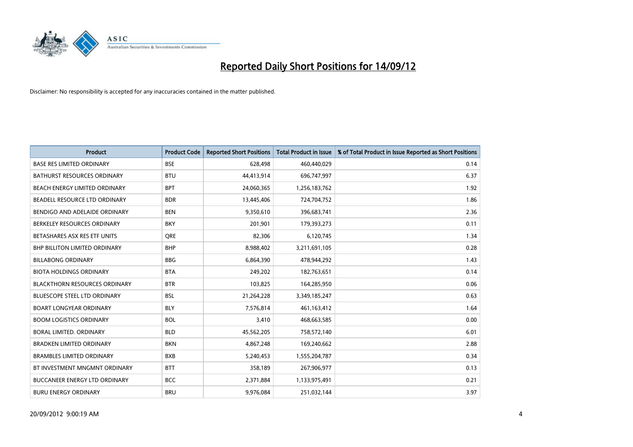

| <b>Product</b>                       | <b>Product Code</b> | <b>Reported Short Positions</b> | <b>Total Product in Issue</b> | % of Total Product in Issue Reported as Short Positions |
|--------------------------------------|---------------------|---------------------------------|-------------------------------|---------------------------------------------------------|
| <b>BASE RES LIMITED ORDINARY</b>     | <b>BSE</b>          | 628,498                         | 460,440,029                   | 0.14                                                    |
| BATHURST RESOURCES ORDINARY          | <b>BTU</b>          | 44,413,914                      | 696,747,997                   | 6.37                                                    |
| BEACH ENERGY LIMITED ORDINARY        | <b>BPT</b>          | 24,060,365                      | 1,256,183,762                 | 1.92                                                    |
| BEADELL RESOURCE LTD ORDINARY        | <b>BDR</b>          | 13,445,406                      | 724,704,752                   | 1.86                                                    |
| BENDIGO AND ADELAIDE ORDINARY        | <b>BEN</b>          | 9,350,610                       | 396,683,741                   | 2.36                                                    |
| BERKELEY RESOURCES ORDINARY          | <b>BKY</b>          | 201,901                         | 179,393,273                   | 0.11                                                    |
| BETASHARES ASX RES ETF UNITS         | <b>ORE</b>          | 82,306                          | 6,120,745                     | 1.34                                                    |
| <b>BHP BILLITON LIMITED ORDINARY</b> | <b>BHP</b>          | 8,988,402                       | 3,211,691,105                 | 0.28                                                    |
| <b>BILLABONG ORDINARY</b>            | <b>BBG</b>          | 6,864,390                       | 478,944,292                   | 1.43                                                    |
| <b>BIOTA HOLDINGS ORDINARY</b>       | <b>BTA</b>          | 249,202                         | 182,763,651                   | 0.14                                                    |
| <b>BLACKTHORN RESOURCES ORDINARY</b> | <b>BTR</b>          | 103,825                         | 164,285,950                   | 0.06                                                    |
| <b>BLUESCOPE STEEL LTD ORDINARY</b>  | <b>BSL</b>          | 21,264,228                      | 3,349,185,247                 | 0.63                                                    |
| <b>BOART LONGYEAR ORDINARY</b>       | <b>BLY</b>          | 7,576,814                       | 461, 163, 412                 | 1.64                                                    |
| <b>BOOM LOGISTICS ORDINARY</b>       | <b>BOL</b>          | 3,410                           | 468,663,585                   | 0.00                                                    |
| <b>BORAL LIMITED, ORDINARY</b>       | <b>BLD</b>          | 45,562,205                      | 758,572,140                   | 6.01                                                    |
| <b>BRADKEN LIMITED ORDINARY</b>      | <b>BKN</b>          | 4,867,248                       | 169,240,662                   | 2.88                                                    |
| <b>BRAMBLES LIMITED ORDINARY</b>     | <b>BXB</b>          | 5,240,453                       | 1,555,204,787                 | 0.34                                                    |
| BT INVESTMENT MNGMNT ORDINARY        | <b>BTT</b>          | 358,189                         | 267,906,977                   | 0.13                                                    |
| <b>BUCCANEER ENERGY LTD ORDINARY</b> | <b>BCC</b>          | 2,371,884                       | 1,133,975,491                 | 0.21                                                    |
| <b>BURU ENERGY ORDINARY</b>          | <b>BRU</b>          | 9.976.084                       | 251,032,144                   | 3.97                                                    |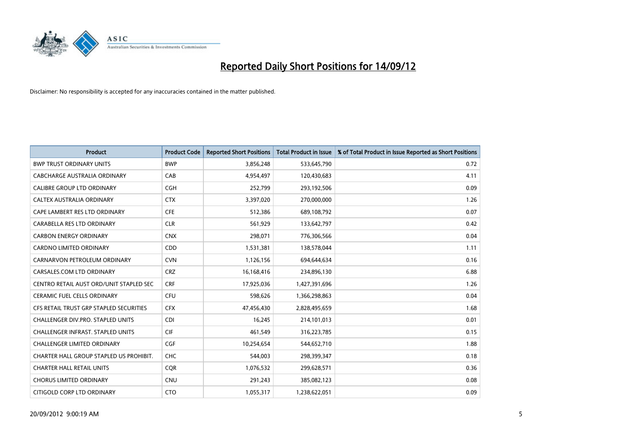

| <b>Product</b>                           | <b>Product Code</b> | <b>Reported Short Positions</b> | <b>Total Product in Issue</b> | % of Total Product in Issue Reported as Short Positions |
|------------------------------------------|---------------------|---------------------------------|-------------------------------|---------------------------------------------------------|
| <b>BWP TRUST ORDINARY UNITS</b>          | <b>BWP</b>          | 3,856,248                       | 533,645,790                   | 0.72                                                    |
| CABCHARGE AUSTRALIA ORDINARY             | CAB                 | 4,954,497                       | 120,430,683                   | 4.11                                                    |
| <b>CALIBRE GROUP LTD ORDINARY</b>        | <b>CGH</b>          | 252,799                         | 293,192,506                   | 0.09                                                    |
| CALTEX AUSTRALIA ORDINARY                | <b>CTX</b>          | 3,397,020                       | 270,000,000                   | 1.26                                                    |
| CAPE LAMBERT RES LTD ORDINARY            | <b>CFE</b>          | 512,386                         | 689,108,792                   | 0.07                                                    |
| CARABELLA RES LTD ORDINARY               | <b>CLR</b>          | 561,929                         | 133,642,797                   | 0.42                                                    |
| <b>CARBON ENERGY ORDINARY</b>            | <b>CNX</b>          | 298,071                         | 776,306,566                   | 0.04                                                    |
| CARDNO LIMITED ORDINARY                  | CDD                 | 1,531,381                       | 138,578,044                   | 1.11                                                    |
| CARNARVON PETROLEUM ORDINARY             | <b>CVN</b>          | 1,126,156                       | 694,644,634                   | 0.16                                                    |
| CARSALES.COM LTD ORDINARY                | <b>CRZ</b>          | 16,168,416                      | 234,896,130                   | 6.88                                                    |
| CENTRO RETAIL AUST ORD/UNIT STAPLED SEC  | <b>CRF</b>          | 17,925,036                      | 1,427,391,696                 | 1.26                                                    |
| <b>CERAMIC FUEL CELLS ORDINARY</b>       | <b>CFU</b>          | 598,626                         | 1,366,298,863                 | 0.04                                                    |
| CFS RETAIL TRUST GRP STAPLED SECURITIES  | <b>CFX</b>          | 47,456,430                      | 2,828,495,659                 | 1.68                                                    |
| CHALLENGER DIV.PRO. STAPLED UNITS        | <b>CDI</b>          | 16,245                          | 214,101,013                   | 0.01                                                    |
| <b>CHALLENGER INFRAST, STAPLED UNITS</b> | <b>CIF</b>          | 461,549                         | 316,223,785                   | 0.15                                                    |
| CHALLENGER LIMITED ORDINARY              | <b>CGF</b>          | 10,254,654                      | 544,652,710                   | 1.88                                                    |
| CHARTER HALL GROUP STAPLED US PROHIBIT.  | <b>CHC</b>          | 544,003                         | 298,399,347                   | 0.18                                                    |
| <b>CHARTER HALL RETAIL UNITS</b>         | <b>CQR</b>          | 1,076,532                       | 299,628,571                   | 0.36                                                    |
| <b>CHORUS LIMITED ORDINARY</b>           | <b>CNU</b>          | 291,243                         | 385,082,123                   | 0.08                                                    |
| CITIGOLD CORP LTD ORDINARY               | <b>CTO</b>          | 1,055,317                       | 1,238,622,051                 | 0.09                                                    |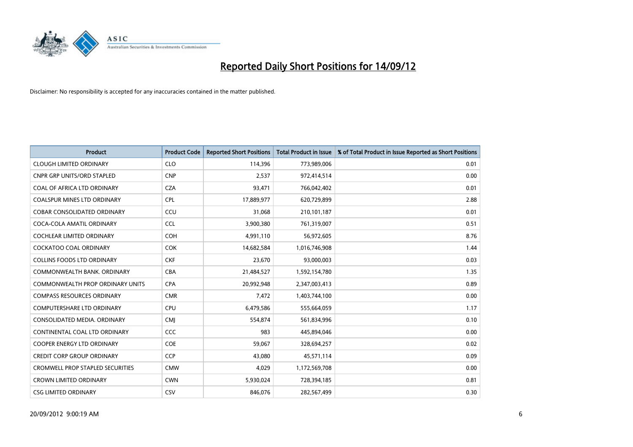

| <b>Product</b>                          | <b>Product Code</b> | <b>Reported Short Positions</b> | <b>Total Product in Issue</b> | % of Total Product in Issue Reported as Short Positions |
|-----------------------------------------|---------------------|---------------------------------|-------------------------------|---------------------------------------------------------|
| <b>CLOUGH LIMITED ORDINARY</b>          | <b>CLO</b>          | 114,396                         | 773,989,006                   | 0.01                                                    |
| <b>CNPR GRP UNITS/ORD STAPLED</b>       | <b>CNP</b>          | 2,537                           | 972,414,514                   | 0.00                                                    |
| <b>COAL OF AFRICA LTD ORDINARY</b>      | <b>CZA</b>          | 93,471                          | 766,042,402                   | 0.01                                                    |
| COALSPUR MINES LTD ORDINARY             | <b>CPL</b>          | 17,889,977                      | 620,729,899                   | 2.88                                                    |
| <b>COBAR CONSOLIDATED ORDINARY</b>      | CCU                 | 31.068                          | 210,101,187                   | 0.01                                                    |
| COCA-COLA AMATIL ORDINARY               | <b>CCL</b>          | 3,900,380                       | 761,319,007                   | 0.51                                                    |
| <b>COCHLEAR LIMITED ORDINARY</b>        | <b>COH</b>          | 4,991,110                       | 56,972,605                    | 8.76                                                    |
| <b>COCKATOO COAL ORDINARY</b>           | <b>COK</b>          | 14,682,584                      | 1,016,746,908                 | 1.44                                                    |
| COLLINS FOODS LTD ORDINARY              | <b>CKF</b>          | 23,670                          | 93,000,003                    | 0.03                                                    |
| COMMONWEALTH BANK, ORDINARY             | <b>CBA</b>          | 21,484,527                      | 1,592,154,780                 | 1.35                                                    |
| <b>COMMONWEALTH PROP ORDINARY UNITS</b> | <b>CPA</b>          | 20,992,948                      | 2,347,003,413                 | 0.89                                                    |
| <b>COMPASS RESOURCES ORDINARY</b>       | <b>CMR</b>          | 7,472                           | 1,403,744,100                 | 0.00                                                    |
| <b>COMPUTERSHARE LTD ORDINARY</b>       | CPU                 | 6,479,586                       | 555,664,059                   | 1.17                                                    |
| CONSOLIDATED MEDIA, ORDINARY            | <b>CMI</b>          | 554.874                         | 561,834,996                   | 0.10                                                    |
| CONTINENTAL COAL LTD ORDINARY           | CCC                 | 983                             | 445,894,046                   | 0.00                                                    |
| <b>COOPER ENERGY LTD ORDINARY</b>       | <b>COE</b>          | 59,067                          | 328,694,257                   | 0.02                                                    |
| <b>CREDIT CORP GROUP ORDINARY</b>       | <b>CCP</b>          | 43,080                          | 45,571,114                    | 0.09                                                    |
| <b>CROMWELL PROP STAPLED SECURITIES</b> | <b>CMW</b>          | 4,029                           | 1,172,569,708                 | 0.00                                                    |
| <b>CROWN LIMITED ORDINARY</b>           | <b>CWN</b>          | 5,930,024                       | 728,394,185                   | 0.81                                                    |
| <b>CSG LIMITED ORDINARY</b>             | CSV                 | 846.076                         | 282,567,499                   | 0.30                                                    |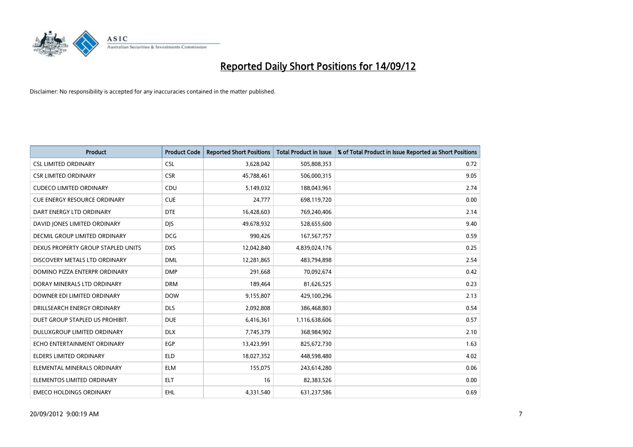

| <b>Product</b>                       | <b>Product Code</b> | <b>Reported Short Positions</b> | <b>Total Product in Issue</b> | % of Total Product in Issue Reported as Short Positions |
|--------------------------------------|---------------------|---------------------------------|-------------------------------|---------------------------------------------------------|
| <b>CSL LIMITED ORDINARY</b>          | <b>CSL</b>          | 3,628,042                       | 505,808,353                   | 0.72                                                    |
| <b>CSR LIMITED ORDINARY</b>          | <b>CSR</b>          | 45,788,461                      | 506,000,315                   | 9.05                                                    |
| <b>CUDECO LIMITED ORDINARY</b>       | CDU                 | 5,149,032                       | 188,043,961                   | 2.74                                                    |
| <b>CUE ENERGY RESOURCE ORDINARY</b>  | <b>CUE</b>          | 24,777                          | 698,119,720                   | 0.00                                                    |
| DART ENERGY LTD ORDINARY             | <b>DTE</b>          | 16,428,603                      | 769,240,406                   | 2.14                                                    |
| DAVID JONES LIMITED ORDINARY         | <b>DJS</b>          | 49,678,932                      | 528,655,600                   | 9.40                                                    |
| <b>DECMIL GROUP LIMITED ORDINARY</b> | <b>DCG</b>          | 990,426                         | 167,567,757                   | 0.59                                                    |
| DEXUS PROPERTY GROUP STAPLED UNITS   | <b>DXS</b>          | 12,042,840                      | 4,839,024,176                 | 0.25                                                    |
| DISCOVERY METALS LTD ORDINARY        | <b>DML</b>          | 12,281,865                      | 483,794,898                   | 2.54                                                    |
| DOMINO PIZZA ENTERPR ORDINARY        | <b>DMP</b>          | 291,668                         | 70,092,674                    | 0.42                                                    |
| DORAY MINERALS LTD ORDINARY          | <b>DRM</b>          | 189,464                         | 81,626,525                    | 0.23                                                    |
| DOWNER EDI LIMITED ORDINARY          | <b>DOW</b>          | 9,155,807                       | 429,100,296                   | 2.13                                                    |
| DRILLSEARCH ENERGY ORDINARY          | <b>DLS</b>          | 2,092,808                       | 386,468,803                   | 0.54                                                    |
| DUET GROUP STAPLED US PROHIBIT.      | <b>DUE</b>          | 6,416,361                       | 1,116,638,606                 | 0.57                                                    |
| DULUXGROUP LIMITED ORDINARY          | <b>DLX</b>          | 7,745,379                       | 368,984,902                   | 2.10                                                    |
| ECHO ENTERTAINMENT ORDINARY          | <b>EGP</b>          | 13,423,991                      | 825,672,730                   | 1.63                                                    |
| ELDERS LIMITED ORDINARY              | <b>ELD</b>          | 18,027,352                      | 448,598,480                   | 4.02                                                    |
| ELEMENTAL MINERALS ORDINARY          | <b>ELM</b>          | 155,075                         | 243,614,280                   | 0.06                                                    |
| ELEMENTOS LIMITED ORDINARY           | <b>ELT</b>          | 16                              | 82,383,526                    | 0.00                                                    |
| <b>EMECO HOLDINGS ORDINARY</b>       | <b>EHL</b>          | 4,331,540                       | 631,237,586                   | 0.69                                                    |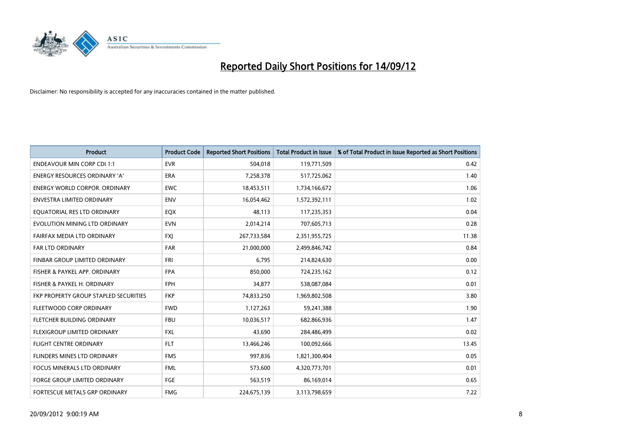

| <b>Product</b>                        | <b>Product Code</b> | <b>Reported Short Positions</b> | <b>Total Product in Issue</b> | % of Total Product in Issue Reported as Short Positions |
|---------------------------------------|---------------------|---------------------------------|-------------------------------|---------------------------------------------------------|
| <b>ENDEAVOUR MIN CORP CDI 1:1</b>     | <b>EVR</b>          | 504,018                         | 119,771,509                   | 0.42                                                    |
| ENERGY RESOURCES ORDINARY 'A'         | <b>ERA</b>          | 7,258,378                       | 517,725,062                   | 1.40                                                    |
| ENERGY WORLD CORPOR, ORDINARY         | <b>EWC</b>          | 18,453,511                      | 1,734,166,672                 | 1.06                                                    |
| ENVESTRA LIMITED ORDINARY             | <b>ENV</b>          | 16,054,462                      | 1,572,392,111                 | 1.02                                                    |
| EOUATORIAL RES LTD ORDINARY           | EQX                 | 48,113                          | 117,235,353                   | 0.04                                                    |
| EVOLUTION MINING LTD ORDINARY         | <b>EVN</b>          | 2,014,214                       | 707,605,713                   | 0.28                                                    |
| FAIRFAX MEDIA LTD ORDINARY            | <b>FXI</b>          | 267,733,584                     | 2,351,955,725                 | 11.38                                                   |
| FAR LTD ORDINARY                      | <b>FAR</b>          | 21,000,000                      | 2,499,846,742                 | 0.84                                                    |
| FINBAR GROUP LIMITED ORDINARY         | <b>FRI</b>          | 6,795                           | 214,824,630                   | 0.00                                                    |
| FISHER & PAYKEL APP. ORDINARY         | <b>FPA</b>          | 850,000                         | 724,235,162                   | 0.12                                                    |
| FISHER & PAYKEL H. ORDINARY           | <b>FPH</b>          | 34,877                          | 538,087,084                   | 0.01                                                    |
| FKP PROPERTY GROUP STAPLED SECURITIES | <b>FKP</b>          | 74,833,250                      | 1,969,802,508                 | 3.80                                                    |
| FLEETWOOD CORP ORDINARY               | <b>FWD</b>          | 1,127,263                       | 59,241,388                    | 1.90                                                    |
| FLETCHER BUILDING ORDINARY            | <b>FBU</b>          | 10,036,517                      | 682,866,936                   | 1.47                                                    |
| <b>FLEXIGROUP LIMITED ORDINARY</b>    | <b>FXL</b>          | 43,690                          | 284,486,499                   | 0.02                                                    |
| FLIGHT CENTRE ORDINARY                | <b>FLT</b>          | 13,466,246                      | 100,092,666                   | 13.45                                                   |
| FLINDERS MINES LTD ORDINARY           | <b>FMS</b>          | 997,836                         | 1,821,300,404                 | 0.05                                                    |
| FOCUS MINERALS LTD ORDINARY           | <b>FML</b>          | 573,600                         | 4,320,773,701                 | 0.01                                                    |
| <b>FORGE GROUP LIMITED ORDINARY</b>   | FGE                 | 563,519                         | 86,169,014                    | 0.65                                                    |
| FORTESCUE METALS GRP ORDINARY         | <b>FMG</b>          | 224,675,139                     | 3,113,798,659                 | 7.22                                                    |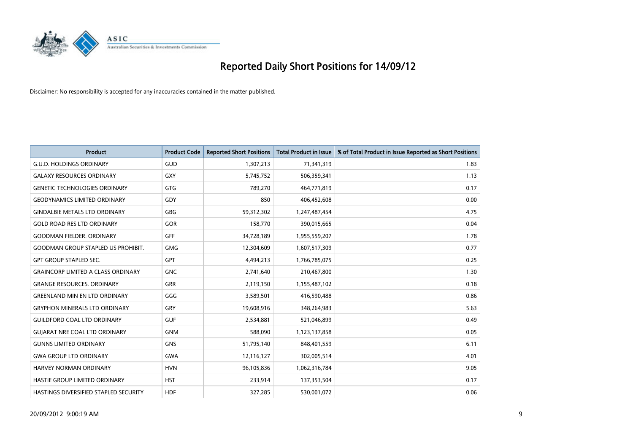

| <b>Product</b>                            | <b>Product Code</b> | <b>Reported Short Positions</b> | <b>Total Product in Issue</b> | % of Total Product in Issue Reported as Short Positions |
|-------------------------------------------|---------------------|---------------------------------|-------------------------------|---------------------------------------------------------|
| <b>G.U.D. HOLDINGS ORDINARY</b>           | <b>GUD</b>          | 1,307,213                       | 71,341,319                    | 1.83                                                    |
| <b>GALAXY RESOURCES ORDINARY</b>          | <b>GXY</b>          | 5,745,752                       | 506,359,341                   | 1.13                                                    |
| <b>GENETIC TECHNOLOGIES ORDINARY</b>      | <b>GTG</b>          | 789,270                         | 464,771,819                   | 0.17                                                    |
| <b>GEODYNAMICS LIMITED ORDINARY</b>       | GDY                 | 850                             | 406,452,608                   | 0.00                                                    |
| <b>GINDALBIE METALS LTD ORDINARY</b>      | <b>GBG</b>          | 59,312,302                      | 1,247,487,454                 | 4.75                                                    |
| <b>GOLD ROAD RES LTD ORDINARY</b>         | GOR                 | 158,770                         | 390,015,665                   | 0.04                                                    |
| <b>GOODMAN FIELDER. ORDINARY</b>          | <b>GFF</b>          | 34,728,189                      | 1,955,559,207                 | 1.78                                                    |
| <b>GOODMAN GROUP STAPLED US PROHIBIT.</b> | <b>GMG</b>          | 12,304,609                      | 1,607,517,309                 | 0.77                                                    |
| <b>GPT GROUP STAPLED SEC.</b>             | <b>GPT</b>          | 4,494,213                       | 1,766,785,075                 | 0.25                                                    |
| <b>GRAINCORP LIMITED A CLASS ORDINARY</b> | <b>GNC</b>          | 2,741,640                       | 210,467,800                   | 1.30                                                    |
| <b>GRANGE RESOURCES. ORDINARY</b>         | <b>GRR</b>          | 2,119,150                       | 1,155,487,102                 | 0.18                                                    |
| <b>GREENLAND MIN EN LTD ORDINARY</b>      | GGG                 | 3,589,501                       | 416,590,488                   | 0.86                                                    |
| <b>GRYPHON MINERALS LTD ORDINARY</b>      | GRY                 | 19,608,916                      | 348,264,983                   | 5.63                                                    |
| <b>GUILDFORD COAL LTD ORDINARY</b>        | <b>GUF</b>          | 2,534,881                       | 521,046,899                   | 0.49                                                    |
| <b>GUIARAT NRE COAL LTD ORDINARY</b>      | <b>GNM</b>          | 588,090                         | 1,123,137,858                 | 0.05                                                    |
| <b>GUNNS LIMITED ORDINARY</b>             | <b>GNS</b>          | 51,795,140                      | 848,401,559                   | 6.11                                                    |
| <b>GWA GROUP LTD ORDINARY</b>             | <b>GWA</b>          | 12,116,127                      | 302,005,514                   | 4.01                                                    |
| <b>HARVEY NORMAN ORDINARY</b>             | <b>HVN</b>          | 96,105,836                      | 1,062,316,784                 | 9.05                                                    |
| HASTIE GROUP LIMITED ORDINARY             | <b>HST</b>          | 233,914                         | 137,353,504                   | 0.17                                                    |
| HASTINGS DIVERSIFIED STAPLED SECURITY     | <b>HDF</b>          | 327,285                         | 530,001,072                   | 0.06                                                    |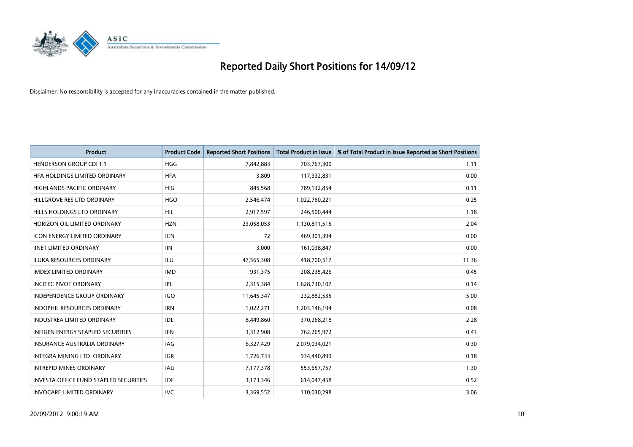

| <b>Product</b>                                | <b>Product Code</b> | <b>Reported Short Positions</b> | <b>Total Product in Issue</b> | % of Total Product in Issue Reported as Short Positions |
|-----------------------------------------------|---------------------|---------------------------------|-------------------------------|---------------------------------------------------------|
| <b>HENDERSON GROUP CDI 1:1</b>                | <b>HGG</b>          | 7,842,883                       | 703,767,300                   | 1.11                                                    |
| HFA HOLDINGS LIMITED ORDINARY                 | <b>HFA</b>          | 3,809                           | 117,332,831                   | 0.00                                                    |
| <b>HIGHLANDS PACIFIC ORDINARY</b>             | <b>HIG</b>          | 845,568                         | 789,132,854                   | 0.11                                                    |
| HILLGROVE RES LTD ORDINARY                    | <b>HGO</b>          | 2,546,474                       | 1,022,760,221                 | 0.25                                                    |
| HILLS HOLDINGS LTD ORDINARY                   | <b>HIL</b>          | 2,917,597                       | 246,500,444                   | 1.18                                                    |
| HORIZON OIL LIMITED ORDINARY                  | <b>HZN</b>          | 23,058,053                      | 1,130,811,515                 | 2.04                                                    |
| <b>ICON ENERGY LIMITED ORDINARY</b>           | <b>ICN</b>          | 72                              | 469,301,394                   | 0.00                                                    |
| <b>IINET LIMITED ORDINARY</b>                 | <b>IIN</b>          | 3,000                           | 161,038,847                   | 0.00                                                    |
| <b>ILUKA RESOURCES ORDINARY</b>               | ILU                 | 47,565,308                      | 418,700,517                   | 11.36                                                   |
| <b>IMDEX LIMITED ORDINARY</b>                 | <b>IMD</b>          | 931,375                         | 208,235,426                   | 0.45                                                    |
| <b>INCITEC PIVOT ORDINARY</b>                 | <b>IPL</b>          | 2,315,384                       | 1,628,730,107                 | 0.14                                                    |
| <b>INDEPENDENCE GROUP ORDINARY</b>            | <b>IGO</b>          | 11,645,347                      | 232,882,535                   | 5.00                                                    |
| INDOPHIL RESOURCES ORDINARY                   | <b>IRN</b>          | 1,022,271                       | 1,203,146,194                 | 0.08                                                    |
| <b>INDUSTREA LIMITED ORDINARY</b>             | IDL                 | 8,449,860                       | 370,268,218                   | 2.28                                                    |
| <b>INFIGEN ENERGY STAPLED SECURITIES</b>      | <b>IFN</b>          | 3,312,908                       | 762,265,972                   | 0.43                                                    |
| INSURANCE AUSTRALIA ORDINARY                  | IAG                 | 6,327,429                       | 2,079,034,021                 | 0.30                                                    |
| INTEGRA MINING LTD. ORDINARY                  | <b>IGR</b>          | 1,726,733                       | 934,440,899                   | 0.18                                                    |
| <b>INTREPID MINES ORDINARY</b>                | <b>IAU</b>          | 7,177,378                       | 553,657,757                   | 1.30                                                    |
| <b>INVESTA OFFICE FUND STAPLED SECURITIES</b> | <b>IOF</b>          | 3,173,346                       | 614,047,458                   | 0.52                                                    |
| <b>INVOCARE LIMITED ORDINARY</b>              | IVC                 | 3,369,552                       | 110,030,298                   | 3.06                                                    |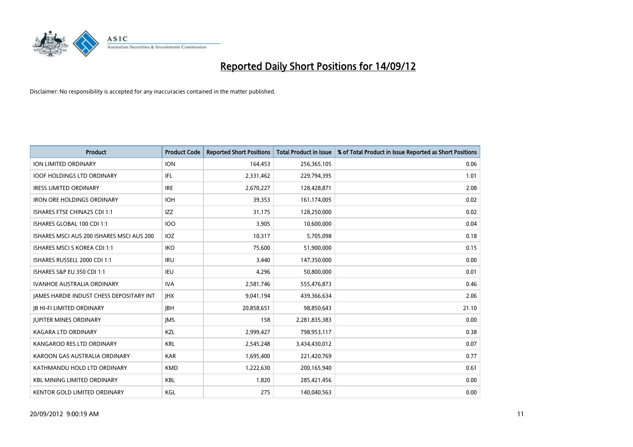

| <b>Product</b>                                  | <b>Product Code</b> | <b>Reported Short Positions</b> | <b>Total Product in Issue</b> | % of Total Product in Issue Reported as Short Positions |
|-------------------------------------------------|---------------------|---------------------------------|-------------------------------|---------------------------------------------------------|
| <b>ION LIMITED ORDINARY</b>                     | <b>ION</b>          | 164,453                         | 256,365,105                   | 0.06                                                    |
| <b>IOOF HOLDINGS LTD ORDINARY</b>               | IFL                 | 2,331,462                       | 229,794,395                   | 1.01                                                    |
| <b>IRESS LIMITED ORDINARY</b>                   | <b>IRE</b>          | 2,670,227                       | 128,428,871                   | 2.08                                                    |
| <b>IRON ORE HOLDINGS ORDINARY</b>               | <b>IOH</b>          | 39,353                          | 161,174,005                   | 0.02                                                    |
| ISHARES FTSE CHINA25 CDI 1:1                    | <b>IZZ</b>          | 31,175                          | 128,250,000                   | 0.02                                                    |
| ISHARES GLOBAL 100 CDI 1:1                      | <b>IOO</b>          | 3,905                           | 10,600,000                    | 0.04                                                    |
| ISHARES MSCI AUS 200 ISHARES MSCI AUS 200       | IOZ                 | 10,317                          | 5,705,098                     | 0.18                                                    |
| ISHARES MSCI S KOREA CDI 1:1                    | <b>IKO</b>          | 75,600                          | 51,900,000                    | 0.15                                                    |
| ISHARES RUSSELL 2000 CDI 1:1                    | <b>IRU</b>          | 3,440                           | 147,350,000                   | 0.00                                                    |
| <b>ISHARES S&amp;P EU 350 CDI 1:1</b>           | IEU                 | 4,296                           | 50,800,000                    | 0.01                                                    |
| IVANHOE AUSTRALIA ORDINARY                      | <b>IVA</b>          | 2,581,746                       | 555,476,873                   | 0.46                                                    |
| <b>JAMES HARDIE INDUST CHESS DEPOSITARY INT</b> | <b>IHX</b>          | 9,041,194                       | 439,366,634                   | 2.06                                                    |
| <b>JB HI-FI LIMITED ORDINARY</b>                | <b>IBH</b>          | 20,858,651                      | 98,850,643                    | 21.10                                                   |
| <b>JUPITER MINES ORDINARY</b>                   | <b>IMS</b>          | 158                             | 2,281,835,383                 | 0.00                                                    |
| <b>KAGARA LTD ORDINARY</b>                      | <b>KZL</b>          | 2,999,427                       | 798,953,117                   | 0.38                                                    |
| KANGAROO RES LTD ORDINARY                       | <b>KRL</b>          | 2,545,248                       | 3,434,430,012                 | 0.07                                                    |
| KAROON GAS AUSTRALIA ORDINARY                   | <b>KAR</b>          | 1,695,400                       | 221,420,769                   | 0.77                                                    |
| KATHMANDU HOLD LTD ORDINARY                     | <b>KMD</b>          | 1,222,630                       | 200,165,940                   | 0.61                                                    |
| <b>KBL MINING LIMITED ORDINARY</b>              | <b>KBL</b>          | 1,820                           | 285,421,456                   | 0.00                                                    |
| KENTOR GOLD LIMITED ORDINARY                    | KGL                 | 275                             | 140,040,563                   | 0.00                                                    |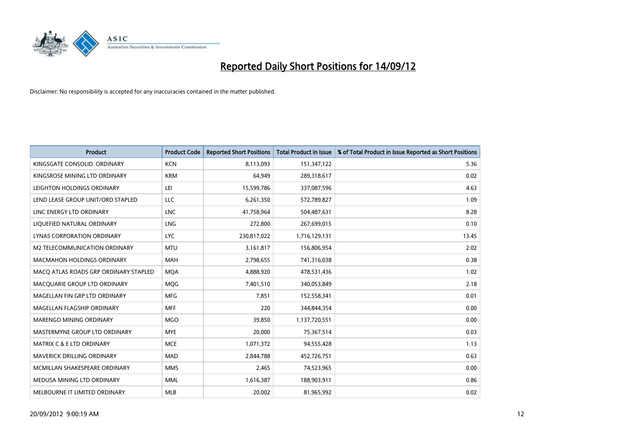

| <b>Product</b>                        | <b>Product Code</b> | <b>Reported Short Positions</b> | <b>Total Product in Issue</b> | % of Total Product in Issue Reported as Short Positions |
|---------------------------------------|---------------------|---------------------------------|-------------------------------|---------------------------------------------------------|
| KINGSGATE CONSOLID. ORDINARY          | <b>KCN</b>          | 8,113,093                       | 151,347,122                   | 5.36                                                    |
| KINGSROSE MINING LTD ORDINARY         | <b>KRM</b>          | 64,949                          | 289,318,617                   | 0.02                                                    |
| LEIGHTON HOLDINGS ORDINARY            | LEI                 | 15,599,786                      | 337,087,596                   | 4.63                                                    |
| LEND LEASE GROUP UNIT/ORD STAPLED     | LLC                 | 6,261,350                       | 572,789,827                   | 1.09                                                    |
| LINC ENERGY LTD ORDINARY              | <b>LNC</b>          | 41,758,964                      | 504,487,631                   | 8.28                                                    |
| LIQUEFIED NATURAL ORDINARY            | LNG                 | 272,800                         | 267,699,015                   | 0.10                                                    |
| LYNAS CORPORATION ORDINARY            | <b>LYC</b>          | 230,817,022                     | 1,716,129,131                 | 13.45                                                   |
| M2 TELECOMMUNICATION ORDINARY         | <b>MTU</b>          | 3,161,817                       | 156,806,954                   | 2.02                                                    |
| <b>MACMAHON HOLDINGS ORDINARY</b>     | <b>MAH</b>          | 2,798,655                       | 741,316,038                   | 0.38                                                    |
| MACO ATLAS ROADS GRP ORDINARY STAPLED | <b>MOA</b>          | 4,888,920                       | 478,531,436                   | 1.02                                                    |
| MACQUARIE GROUP LTD ORDINARY          | <b>MOG</b>          | 7,401,510                       | 340,053,849                   | 2.18                                                    |
| MAGELLAN FIN GRP LTD ORDINARY         | <b>MFG</b>          | 7,851                           | 152,558,341                   | 0.01                                                    |
| MAGELLAN FLAGSHIP ORDINARY            | <b>MFF</b>          | 220                             | 344,844,354                   | 0.00                                                    |
| <b>MARENGO MINING ORDINARY</b>        | <b>MGO</b>          | 39,850                          | 1,137,720,551                 | 0.00                                                    |
| MASTERMYNE GROUP LTD ORDINARY         | <b>MYE</b>          | 20,000                          | 75,367,514                    | 0.03                                                    |
| MATRIX C & E LTD ORDINARY             | <b>MCE</b>          | 1,071,372                       | 94,555,428                    | 1.13                                                    |
| MAVERICK DRILLING ORDINARY            | <b>MAD</b>          | 2,844,788                       | 452,726,751                   | 0.63                                                    |
| MCMILLAN SHAKESPEARE ORDINARY         | <b>MMS</b>          | 2,465                           | 74,523,965                    | 0.00                                                    |
| MEDUSA MINING LTD ORDINARY            | <b>MML</b>          | 1,616,387                       | 188,903,911                   | 0.86                                                    |
| MELBOURNE IT LIMITED ORDINARY         | <b>MLB</b>          | 20,002                          | 81,965,992                    | 0.02                                                    |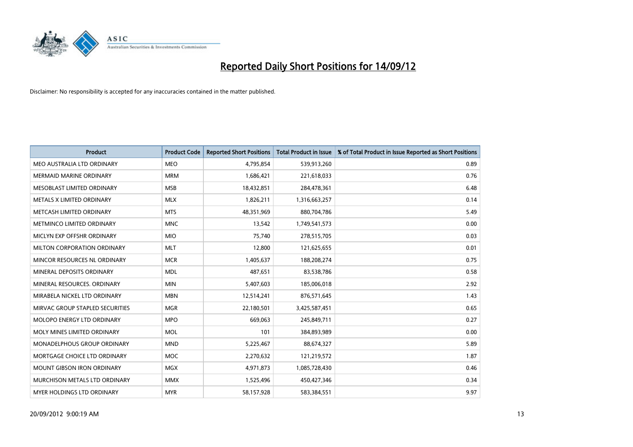

| <b>Product</b>                    | <b>Product Code</b> | <b>Reported Short Positions</b> | <b>Total Product in Issue</b> | % of Total Product in Issue Reported as Short Positions |
|-----------------------------------|---------------------|---------------------------------|-------------------------------|---------------------------------------------------------|
| MEO AUSTRALIA LTD ORDINARY        | <b>MEO</b>          | 4,795,854                       | 539,913,260                   | 0.89                                                    |
| <b>MERMAID MARINE ORDINARY</b>    | <b>MRM</b>          | 1,686,421                       | 221,618,033                   | 0.76                                                    |
| <b>MESOBLAST LIMITED ORDINARY</b> | <b>MSB</b>          | 18,432,851                      | 284,478,361                   | 6.48                                                    |
| METALS X LIMITED ORDINARY         | <b>MLX</b>          | 1,826,211                       | 1,316,663,257                 | 0.14                                                    |
| METCASH LIMITED ORDINARY          | <b>MTS</b>          | 48,351,969                      | 880,704,786                   | 5.49                                                    |
| METMINCO LIMITED ORDINARY         | <b>MNC</b>          | 13,542                          | 1,749,541,573                 | 0.00                                                    |
| MICLYN EXP OFFSHR ORDINARY        | <b>MIO</b>          | 75.740                          | 278,515,705                   | 0.03                                                    |
| MILTON CORPORATION ORDINARY       | <b>MLT</b>          | 12,800                          | 121,625,655                   | 0.01                                                    |
| MINCOR RESOURCES NL ORDINARY      | <b>MCR</b>          | 1,405,637                       | 188,208,274                   | 0.75                                                    |
| MINERAL DEPOSITS ORDINARY         | <b>MDL</b>          | 487,651                         | 83,538,786                    | 0.58                                                    |
| MINERAL RESOURCES, ORDINARY       | <b>MIN</b>          | 5,407,603                       | 185,006,018                   | 2.92                                                    |
| MIRABELA NICKEL LTD ORDINARY      | <b>MBN</b>          | 12,514,241                      | 876,571,645                   | 1.43                                                    |
| MIRVAC GROUP STAPLED SECURITIES   | <b>MGR</b>          | 22,180,501                      | 3,425,587,451                 | 0.65                                                    |
| MOLOPO ENERGY LTD ORDINARY        | <b>MPO</b>          | 669.063                         | 245,849,711                   | 0.27                                                    |
| MOLY MINES LIMITED ORDINARY       | <b>MOL</b>          | 101                             | 384,893,989                   | 0.00                                                    |
| MONADELPHOUS GROUP ORDINARY       | <b>MND</b>          | 5,225,467                       | 88,674,327                    | 5.89                                                    |
| MORTGAGE CHOICE LTD ORDINARY      | <b>MOC</b>          | 2,270,632                       | 121,219,572                   | 1.87                                                    |
| MOUNT GIBSON IRON ORDINARY        | <b>MGX</b>          | 4,971,873                       | 1,085,728,430                 | 0.46                                                    |
| MURCHISON METALS LTD ORDINARY     | <b>MMX</b>          | 1,525,496                       | 450,427,346                   | 0.34                                                    |
| <b>MYER HOLDINGS LTD ORDINARY</b> | <b>MYR</b>          | 58,157,928                      | 583,384,551                   | 9.97                                                    |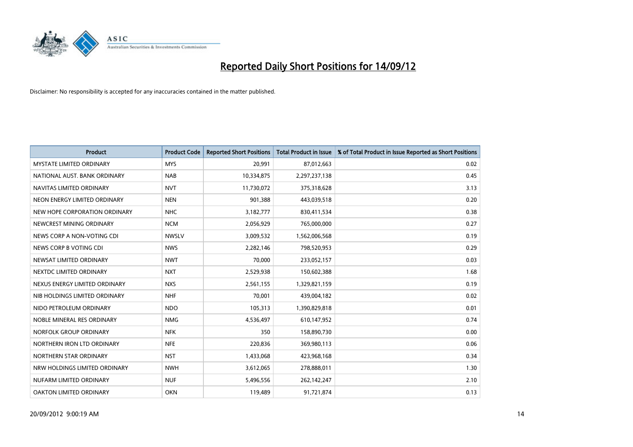

| <b>Product</b>                  | <b>Product Code</b> | <b>Reported Short Positions</b> | <b>Total Product in Issue</b> | % of Total Product in Issue Reported as Short Positions |
|---------------------------------|---------------------|---------------------------------|-------------------------------|---------------------------------------------------------|
| <b>MYSTATE LIMITED ORDINARY</b> | <b>MYS</b>          | 20,991                          | 87,012,663                    | 0.02                                                    |
| NATIONAL AUST. BANK ORDINARY    | <b>NAB</b>          | 10,334,875                      | 2,297,237,138                 | 0.45                                                    |
| NAVITAS LIMITED ORDINARY        | <b>NVT</b>          | 11,730,072                      | 375,318,628                   | 3.13                                                    |
| NEON ENERGY LIMITED ORDINARY    | <b>NEN</b>          | 901,388                         | 443,039,518                   | 0.20                                                    |
| NEW HOPE CORPORATION ORDINARY   | NHC                 | 3,182,777                       | 830,411,534                   | 0.38                                                    |
| NEWCREST MINING ORDINARY        | <b>NCM</b>          | 2,056,929                       | 765,000,000                   | 0.27                                                    |
| NEWS CORP A NON-VOTING CDI      | <b>NWSLV</b>        | 3,009,532                       | 1,562,006,568                 | 0.19                                                    |
| NEWS CORP B VOTING CDI          | <b>NWS</b>          | 2,282,146                       | 798,520,953                   | 0.29                                                    |
| NEWSAT LIMITED ORDINARY         | <b>NWT</b>          | 70,000                          | 233,052,157                   | 0.03                                                    |
| NEXTDC LIMITED ORDINARY         | <b>NXT</b>          | 2,529,938                       | 150,602,388                   | 1.68                                                    |
| NEXUS ENERGY LIMITED ORDINARY   | <b>NXS</b>          | 2,561,155                       | 1,329,821,159                 | 0.19                                                    |
| NIB HOLDINGS LIMITED ORDINARY   | <b>NHF</b>          | 70,001                          | 439,004,182                   | 0.02                                                    |
| NIDO PETROLEUM ORDINARY         | <b>NDO</b>          | 105,313                         | 1,390,829,818                 | 0.01                                                    |
| NOBLE MINERAL RES ORDINARY      | <b>NMG</b>          | 4,536,497                       | 610,147,952                   | 0.74                                                    |
| NORFOLK GROUP ORDINARY          | <b>NFK</b>          | 350                             | 158,890,730                   | 0.00                                                    |
| NORTHERN IRON LTD ORDINARY      | <b>NFE</b>          | 220,836                         | 369,980,113                   | 0.06                                                    |
| NORTHERN STAR ORDINARY          | <b>NST</b>          | 1,433,068                       | 423,968,168                   | 0.34                                                    |
| NRW HOLDINGS LIMITED ORDINARY   | <b>NWH</b>          | 3,612,065                       | 278,888,011                   | 1.30                                                    |
| NUFARM LIMITED ORDINARY         | <b>NUF</b>          | 5,496,556                       | 262,142,247                   | 2.10                                                    |
| OAKTON LIMITED ORDINARY         | <b>OKN</b>          | 119,489                         | 91,721,874                    | 0.13                                                    |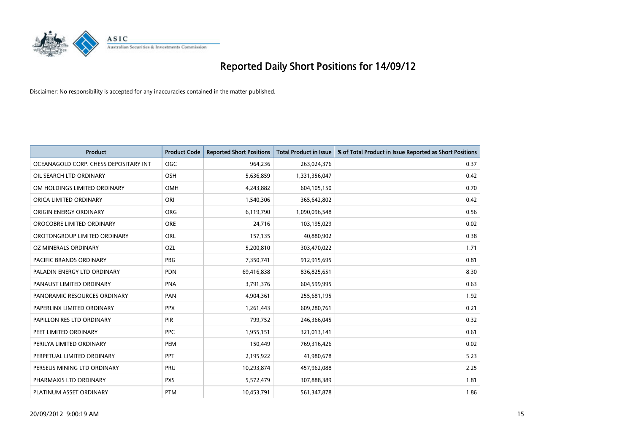

| <b>Product</b>                        | <b>Product Code</b> | <b>Reported Short Positions</b> | <b>Total Product in Issue</b> | % of Total Product in Issue Reported as Short Positions |
|---------------------------------------|---------------------|---------------------------------|-------------------------------|---------------------------------------------------------|
| OCEANAGOLD CORP. CHESS DEPOSITARY INT | <b>OGC</b>          | 964,236                         | 263,024,376                   | 0.37                                                    |
| OIL SEARCH LTD ORDINARY               | OSH                 | 5,636,859                       | 1,331,356,047                 | 0.42                                                    |
| OM HOLDINGS LIMITED ORDINARY          | OMH                 | 4,243,882                       | 604,105,150                   | 0.70                                                    |
| ORICA LIMITED ORDINARY                | ORI                 | 1,540,306                       | 365,642,802                   | 0.42                                                    |
| ORIGIN ENERGY ORDINARY                | <b>ORG</b>          | 6,119,790                       | 1,090,096,548                 | 0.56                                                    |
| OROCOBRE LIMITED ORDINARY             | <b>ORE</b>          | 24,716                          | 103,195,029                   | 0.02                                                    |
| OROTONGROUP LIMITED ORDINARY          | ORL                 | 157,135                         | 40,880,902                    | 0.38                                                    |
| OZ MINERALS ORDINARY                  | OZL                 | 5,200,810                       | 303,470,022                   | 1.71                                                    |
| PACIFIC BRANDS ORDINARY               | <b>PBG</b>          | 7,350,741                       | 912,915,695                   | 0.81                                                    |
| PALADIN ENERGY LTD ORDINARY           | <b>PDN</b>          | 69,416,838                      | 836,825,651                   | 8.30                                                    |
| PANAUST LIMITED ORDINARY              | PNA                 | 3,791,376                       | 604,599,995                   | 0.63                                                    |
| PANORAMIC RESOURCES ORDINARY          | PAN                 | 4,904,361                       | 255,681,195                   | 1.92                                                    |
| PAPERLINX LIMITED ORDINARY            | <b>PPX</b>          | 1,261,443                       | 609,280,761                   | 0.21                                                    |
| PAPILLON RES LTD ORDINARY             | <b>PIR</b>          | 799,752                         | 246,366,045                   | 0.32                                                    |
| PEET LIMITED ORDINARY                 | <b>PPC</b>          | 1,955,151                       | 321,013,141                   | 0.61                                                    |
| PERILYA LIMITED ORDINARY              | PEM                 | 150,449                         | 769,316,426                   | 0.02                                                    |
| PERPETUAL LIMITED ORDINARY            | PPT                 | 2,195,922                       | 41,980,678                    | 5.23                                                    |
| PERSEUS MINING LTD ORDINARY           | PRU                 | 10,293,874                      | 457,962,088                   | 2.25                                                    |
| PHARMAXIS LTD ORDINARY                | <b>PXS</b>          | 5,572,479                       | 307,888,389                   | 1.81                                                    |
| PLATINUM ASSET ORDINARY               | <b>PTM</b>          | 10,453,791                      | 561,347,878                   | 1.86                                                    |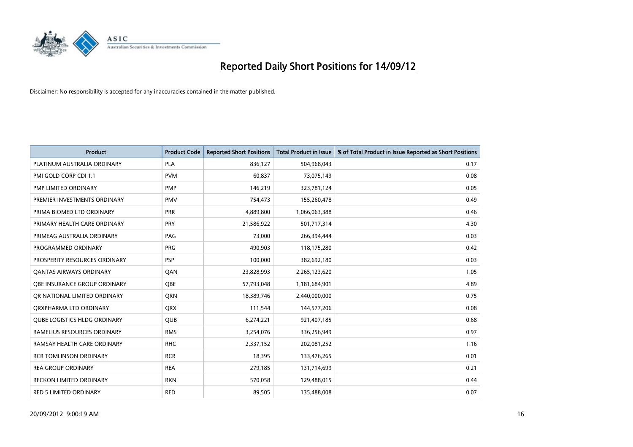

| <b>Product</b>                      | <b>Product Code</b> | <b>Reported Short Positions</b> | <b>Total Product in Issue</b> | % of Total Product in Issue Reported as Short Positions |
|-------------------------------------|---------------------|---------------------------------|-------------------------------|---------------------------------------------------------|
| PLATINUM AUSTRALIA ORDINARY         | <b>PLA</b>          | 836,127                         | 504,968,043                   | 0.17                                                    |
| PMI GOLD CORP CDI 1:1               | <b>PVM</b>          | 60,837                          | 73,075,149                    | 0.08                                                    |
| PMP LIMITED ORDINARY                | <b>PMP</b>          | 146,219                         | 323,781,124                   | 0.05                                                    |
| PREMIER INVESTMENTS ORDINARY        | <b>PMV</b>          | 754,473                         | 155,260,478                   | 0.49                                                    |
| PRIMA BIOMED LTD ORDINARY           | <b>PRR</b>          | 4,889,800                       | 1,066,063,388                 | 0.46                                                    |
| PRIMARY HEALTH CARE ORDINARY        | PRY                 | 21,586,922                      | 501,717,314                   | 4.30                                                    |
| PRIMEAG AUSTRALIA ORDINARY          | PAG                 | 73,000                          | 266,394,444                   | 0.03                                                    |
| PROGRAMMED ORDINARY                 | <b>PRG</b>          | 490,903                         | 118,175,280                   | 0.42                                                    |
| PROSPERITY RESOURCES ORDINARY       | PSP                 | 100,000                         | 382,692,180                   | 0.03                                                    |
| OANTAS AIRWAYS ORDINARY             | QAN                 | 23,828,993                      | 2,265,123,620                 | 1.05                                                    |
| <b>OBE INSURANCE GROUP ORDINARY</b> | <b>OBE</b>          | 57,793,048                      | 1,181,684,901                 | 4.89                                                    |
| OR NATIONAL LIMITED ORDINARY        | <b>ORN</b>          | 18,389,746                      | 2,440,000,000                 | 0.75                                                    |
| ORXPHARMA LTD ORDINARY              | <b>ORX</b>          | 111,544                         | 144,577,206                   | 0.08                                                    |
| <b>QUBE LOGISTICS HLDG ORDINARY</b> | <b>QUB</b>          | 6,274,221                       | 921,407,185                   | 0.68                                                    |
| RAMELIUS RESOURCES ORDINARY         | <b>RMS</b>          | 3,254,076                       | 336,256,949                   | 0.97                                                    |
| RAMSAY HEALTH CARE ORDINARY         | <b>RHC</b>          | 2,337,152                       | 202,081,252                   | 1.16                                                    |
| <b>RCR TOMLINSON ORDINARY</b>       | <b>RCR</b>          | 18,395                          | 133,476,265                   | 0.01                                                    |
| <b>REA GROUP ORDINARY</b>           | <b>REA</b>          | 279,185                         | 131,714,699                   | 0.21                                                    |
| <b>RECKON LIMITED ORDINARY</b>      | <b>RKN</b>          | 570,058                         | 129,488,015                   | 0.44                                                    |
| RED 5 LIMITED ORDINARY              | <b>RED</b>          | 89,505                          | 135,488,008                   | 0.07                                                    |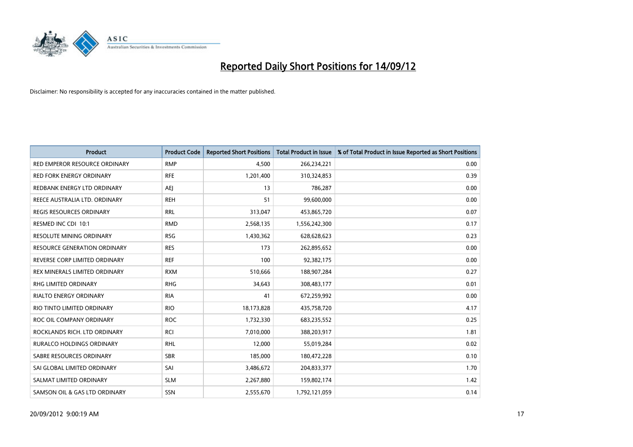

| <b>Product</b>                  | <b>Product Code</b> | <b>Reported Short Positions</b> | <b>Total Product in Issue</b> | % of Total Product in Issue Reported as Short Positions |
|---------------------------------|---------------------|---------------------------------|-------------------------------|---------------------------------------------------------|
| RED EMPEROR RESOURCE ORDINARY   | <b>RMP</b>          | 4,500                           | 266,234,221                   | 0.00                                                    |
| <b>RED FORK ENERGY ORDINARY</b> | <b>RFE</b>          | 1,201,400                       | 310,324,853                   | 0.39                                                    |
| REDBANK ENERGY LTD ORDINARY     | AEJ                 | 13                              | 786,287                       | 0.00                                                    |
| REECE AUSTRALIA LTD. ORDINARY   | <b>REH</b>          | 51                              | 99,600,000                    | 0.00                                                    |
| <b>REGIS RESOURCES ORDINARY</b> | <b>RRL</b>          | 313,047                         | 453,865,720                   | 0.07                                                    |
| RESMED INC CDI 10:1             | <b>RMD</b>          | 2,568,135                       | 1,556,242,300                 | 0.17                                                    |
| <b>RESOLUTE MINING ORDINARY</b> | <b>RSG</b>          | 1,430,362                       | 628,628,623                   | 0.23                                                    |
| RESOURCE GENERATION ORDINARY    | <b>RES</b>          | 173                             | 262,895,652                   | 0.00                                                    |
| REVERSE CORP LIMITED ORDINARY   | <b>REF</b>          | 100                             | 92,382,175                    | 0.00                                                    |
| REX MINERALS LIMITED ORDINARY   | <b>RXM</b>          | 510,666                         | 188,907,284                   | 0.27                                                    |
| RHG LIMITED ORDINARY            | <b>RHG</b>          | 34,643                          | 308,483,177                   | 0.01                                                    |
| <b>RIALTO ENERGY ORDINARY</b>   | <b>RIA</b>          | 41                              | 672,259,992                   | 0.00                                                    |
| RIO TINTO LIMITED ORDINARY      | <b>RIO</b>          | 18,173,828                      | 435,758,720                   | 4.17                                                    |
| ROC OIL COMPANY ORDINARY        | <b>ROC</b>          | 1,732,330                       | 683,235,552                   | 0.25                                                    |
| ROCKLANDS RICH. LTD ORDINARY    | <b>RCI</b>          | 7,010,000                       | 388,203,917                   | 1.81                                                    |
| RURALCO HOLDINGS ORDINARY       | <b>RHL</b>          | 12,000                          | 55,019,284                    | 0.02                                                    |
| SABRE RESOURCES ORDINARY        | <b>SBR</b>          | 185,000                         | 180,472,228                   | 0.10                                                    |
| SAI GLOBAL LIMITED ORDINARY     | SAI                 | 3,486,672                       | 204,833,377                   | 1.70                                                    |
| SALMAT LIMITED ORDINARY         | <b>SLM</b>          | 2,267,880                       | 159,802,174                   | 1.42                                                    |
| SAMSON OIL & GAS LTD ORDINARY   | <b>SSN</b>          | 2,555,670                       | 1,792,121,059                 | 0.14                                                    |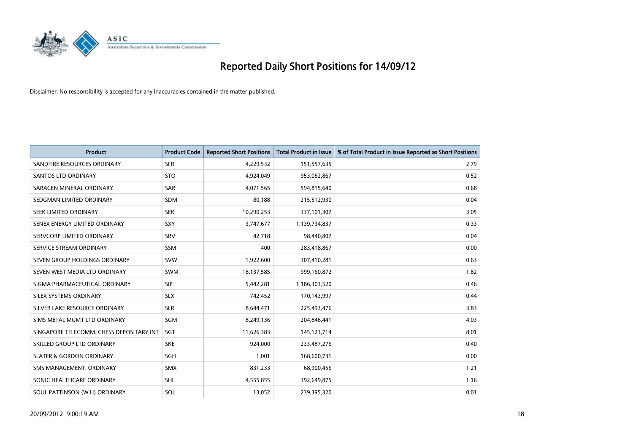

| <b>Product</b>                           | <b>Product Code</b> | <b>Reported Short Positions</b> | <b>Total Product in Issue</b> | % of Total Product in Issue Reported as Short Positions |
|------------------------------------------|---------------------|---------------------------------|-------------------------------|---------------------------------------------------------|
| SANDFIRE RESOURCES ORDINARY              | <b>SFR</b>          | 4,229,532                       | 151,557,635                   | 2.79                                                    |
| SANTOS LTD ORDINARY                      | <b>STO</b>          | 4,924,049                       | 953,052,867                   | 0.52                                                    |
| SARACEN MINERAL ORDINARY                 | SAR                 | 4,071,565                       | 594,815,640                   | 0.68                                                    |
| SEDGMAN LIMITED ORDINARY                 | <b>SDM</b>          | 80,188                          | 215,512,930                   | 0.04                                                    |
| <b>SEEK LIMITED ORDINARY</b>             | <b>SEK</b>          | 10,290,253                      | 337,101,307                   | 3.05                                                    |
| SENEX ENERGY LIMITED ORDINARY            | SXY                 | 3,747,677                       | 1,139,734,837                 | 0.33                                                    |
| SERVCORP LIMITED ORDINARY                | <b>SRV</b>          | 42,718                          | 98,440,807                    | 0.04                                                    |
| SERVICE STREAM ORDINARY                  | <b>SSM</b>          | 400                             | 283,418,867                   | 0.00                                                    |
| SEVEN GROUP HOLDINGS ORDINARY            | <b>SVW</b>          | 1,922,600                       | 307,410,281                   | 0.63                                                    |
| SEVEN WEST MEDIA LTD ORDINARY            | <b>SWM</b>          | 18,137,585                      | 999,160,872                   | 1.82                                                    |
| SIGMA PHARMACEUTICAL ORDINARY            | <b>SIP</b>          | 5,442,281                       | 1,186,303,520                 | 0.46                                                    |
| <b>SILEX SYSTEMS ORDINARY</b>            | <b>SLX</b>          | 742,452                         | 170,143,997                   | 0.44                                                    |
| SILVER LAKE RESOURCE ORDINARY            | <b>SLR</b>          | 8,644,471                       | 225,493,476                   | 3.83                                                    |
| SIMS METAL MGMT LTD ORDINARY             | SGM                 | 8,249,136                       | 204,846,441                   | 4.03                                                    |
| SINGAPORE TELECOMM. CHESS DEPOSITARY INT | SGT                 | 11,626,383                      | 145, 123, 714                 | 8.01                                                    |
| SKILLED GROUP LTD ORDINARY               | <b>SKE</b>          | 924,000                         | 233,487,276                   | 0.40                                                    |
| <b>SLATER &amp; GORDON ORDINARY</b>      | <b>SGH</b>          | 1,001                           | 168,600,731                   | 0.00                                                    |
| SMS MANAGEMENT. ORDINARY                 | <b>SMX</b>          | 831,233                         | 68,900,456                    | 1.21                                                    |
| SONIC HEALTHCARE ORDINARY                | <b>SHL</b>          | 4,555,855                       | 392,649,875                   | 1.16                                                    |
| SOUL PATTINSON (W.H) ORDINARY            | SOL                 | 13,052                          | 239,395,320                   | 0.01                                                    |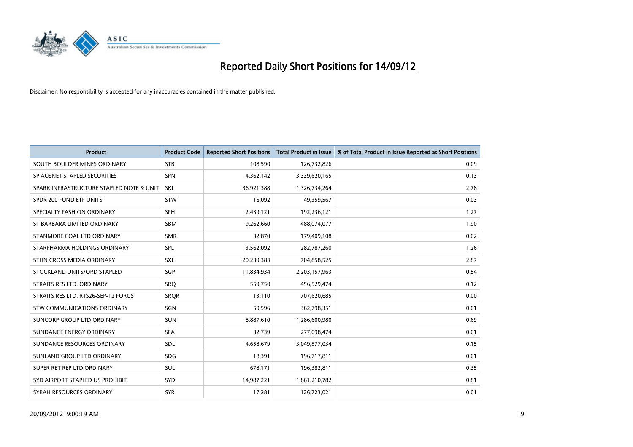

| <b>Product</b>                           | <b>Product Code</b> | <b>Reported Short Positions</b> | <b>Total Product in Issue</b> | % of Total Product in Issue Reported as Short Positions |
|------------------------------------------|---------------------|---------------------------------|-------------------------------|---------------------------------------------------------|
| SOUTH BOULDER MINES ORDINARY             | <b>STB</b>          | 108,590                         | 126,732,826                   | 0.09                                                    |
| SP AUSNET STAPLED SECURITIES             | <b>SPN</b>          | 4,362,142                       | 3,339,620,165                 | 0.13                                                    |
| SPARK INFRASTRUCTURE STAPLED NOTE & UNIT | SKI                 | 36,921,388                      | 1,326,734,264                 | 2.78                                                    |
| SPDR 200 FUND ETF UNITS                  | <b>STW</b>          | 16.092                          | 49,359,567                    | 0.03                                                    |
| SPECIALTY FASHION ORDINARY               | <b>SFH</b>          | 2,439,121                       | 192,236,121                   | 1.27                                                    |
| ST BARBARA LIMITED ORDINARY              | <b>SBM</b>          | 9,262,660                       | 488,074,077                   | 1.90                                                    |
| STANMORE COAL LTD ORDINARY               | <b>SMR</b>          | 32,870                          | 179,409,108                   | 0.02                                                    |
| STARPHARMA HOLDINGS ORDINARY             | SPL                 | 3,562,092                       | 282,787,260                   | 1.26                                                    |
| STHN CROSS MEDIA ORDINARY                | SXL                 | 20,239,383                      | 704,858,525                   | 2.87                                                    |
| STOCKLAND UNITS/ORD STAPLED              | SGP                 | 11,834,934                      | 2,203,157,963                 | 0.54                                                    |
| STRAITS RES LTD. ORDINARY                | SRQ                 | 559,750                         | 456,529,474                   | 0.12                                                    |
| STRAITS RES LTD. RTS26-SEP-12 FORUS      | <b>SROR</b>         | 13,110                          | 707,620,685                   | 0.00                                                    |
| <b>STW COMMUNICATIONS ORDINARY</b>       | SGN                 | 50,596                          | 362,798,351                   | 0.01                                                    |
| SUNCORP GROUP LTD ORDINARY               | <b>SUN</b>          | 8,887,610                       | 1,286,600,980                 | 0.69                                                    |
| SUNDANCE ENERGY ORDINARY                 | <b>SEA</b>          | 32,739                          | 277,098,474                   | 0.01                                                    |
| SUNDANCE RESOURCES ORDINARY              | <b>SDL</b>          | 4,658,679                       | 3,049,577,034                 | 0.15                                                    |
| SUNLAND GROUP LTD ORDINARY               | <b>SDG</b>          | 18,391                          | 196,717,811                   | 0.01                                                    |
| SUPER RET REP LTD ORDINARY               | <b>SUL</b>          | 678,171                         | 196,382,811                   | 0.35                                                    |
| SYD AIRPORT STAPLED US PROHIBIT.         | <b>SYD</b>          | 14,987,221                      | 1,861,210,782                 | 0.81                                                    |
| SYRAH RESOURCES ORDINARY                 | <b>SYR</b>          | 17,281                          | 126,723,021                   | 0.01                                                    |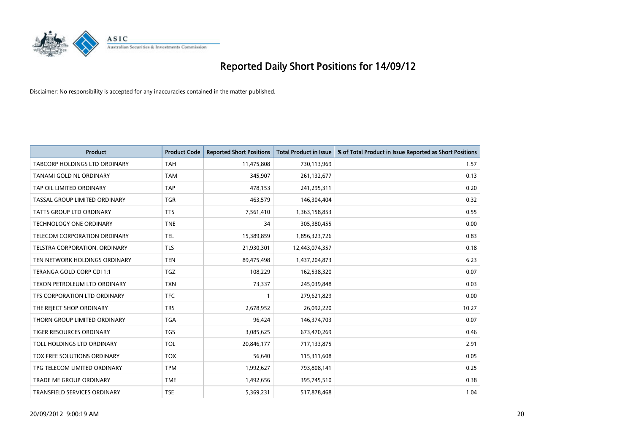

| <b>Product</b>                       | <b>Product Code</b> | <b>Reported Short Positions</b> | <b>Total Product in Issue</b> | % of Total Product in Issue Reported as Short Positions |
|--------------------------------------|---------------------|---------------------------------|-------------------------------|---------------------------------------------------------|
| <b>TABCORP HOLDINGS LTD ORDINARY</b> | <b>TAH</b>          | 11,475,808                      | 730,113,969                   | 1.57                                                    |
| TANAMI GOLD NL ORDINARY              | <b>TAM</b>          | 345,907                         | 261,132,677                   | 0.13                                                    |
| TAP OIL LIMITED ORDINARY             | <b>TAP</b>          | 478,153                         | 241,295,311                   | 0.20                                                    |
| TASSAL GROUP LIMITED ORDINARY        | <b>TGR</b>          | 463,579                         | 146,304,404                   | 0.32                                                    |
| <b>TATTS GROUP LTD ORDINARY</b>      | <b>TTS</b>          | 7,561,410                       | 1,363,158,853                 | 0.55                                                    |
| <b>TECHNOLOGY ONE ORDINARY</b>       | <b>TNE</b>          | 34                              | 305,380,455                   | 0.00                                                    |
| TELECOM CORPORATION ORDINARY         | <b>TEL</b>          | 15,389,859                      | 1,856,323,726                 | 0.83                                                    |
| TELSTRA CORPORATION. ORDINARY        | <b>TLS</b>          | 21,930,301                      | 12,443,074,357                | 0.18                                                    |
| TEN NETWORK HOLDINGS ORDINARY        | <b>TEN</b>          | 89,475,498                      | 1,437,204,873                 | 6.23                                                    |
| TERANGA GOLD CORP CDI 1:1            | <b>TGZ</b>          | 108,229                         | 162,538,320                   | 0.07                                                    |
| TEXON PETROLEUM LTD ORDINARY         | <b>TXN</b>          | 73,337                          | 245,039,848                   | 0.03                                                    |
| TFS CORPORATION LTD ORDINARY         | <b>TFC</b>          |                                 | 279,621,829                   | 0.00                                                    |
| THE REJECT SHOP ORDINARY             | <b>TRS</b>          | 2,678,952                       | 26,092,220                    | 10.27                                                   |
| THORN GROUP LIMITED ORDINARY         | <b>TGA</b>          | 96,424                          | 146,374,703                   | 0.07                                                    |
| <b>TIGER RESOURCES ORDINARY</b>      | <b>TGS</b>          | 3,085,625                       | 673,470,269                   | 0.46                                                    |
| TOLL HOLDINGS LTD ORDINARY           | <b>TOL</b>          | 20,846,177                      | 717,133,875                   | 2.91                                                    |
| TOX FREE SOLUTIONS ORDINARY          | <b>TOX</b>          | 56,640                          | 115,311,608                   | 0.05                                                    |
| TPG TELECOM LIMITED ORDINARY         | <b>TPM</b>          | 1,992,627                       | 793,808,141                   | 0.25                                                    |
| <b>TRADE ME GROUP ORDINARY</b>       | <b>TME</b>          | 1,492,656                       | 395,745,510                   | 0.38                                                    |
| TRANSFIELD SERVICES ORDINARY         | <b>TSE</b>          | 5,369,231                       | 517,878,468                   | 1.04                                                    |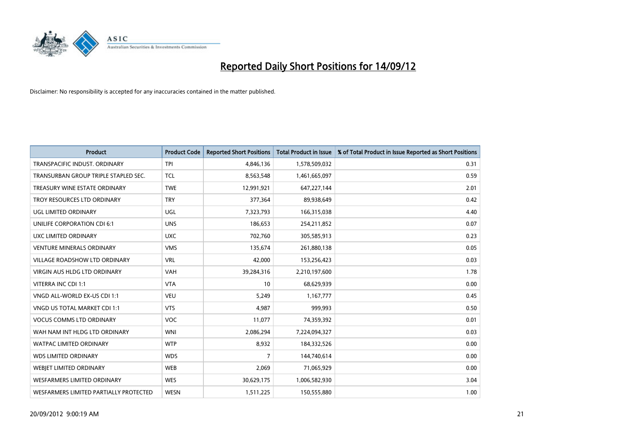

| <b>Product</b>                         | <b>Product Code</b> | <b>Reported Short Positions</b> | <b>Total Product in Issue</b> | % of Total Product in Issue Reported as Short Positions |
|----------------------------------------|---------------------|---------------------------------|-------------------------------|---------------------------------------------------------|
| TRANSPACIFIC INDUST, ORDINARY          | <b>TPI</b>          | 4,846,136                       | 1,578,509,032                 | 0.31                                                    |
| TRANSURBAN GROUP TRIPLE STAPLED SEC.   | <b>TCL</b>          | 8,563,548                       | 1,461,665,097                 | 0.59                                                    |
| TREASURY WINE ESTATE ORDINARY          | <b>TWE</b>          | 12,991,921                      | 647,227,144                   | 2.01                                                    |
| TROY RESOURCES LTD ORDINARY            | <b>TRY</b>          | 377,364                         | 89,938,649                    | 0.42                                                    |
| UGL LIMITED ORDINARY                   | UGL                 | 7,323,793                       | 166,315,038                   | 4.40                                                    |
| UNILIFE CORPORATION CDI 6:1            | <b>UNS</b>          | 186,653                         | 254,211,852                   | 0.07                                                    |
| UXC LIMITED ORDINARY                   | <b>UXC</b>          | 702,760                         | 305,585,913                   | 0.23                                                    |
| <b>VENTURE MINERALS ORDINARY</b>       | <b>VMS</b>          | 135,674                         | 261,880,138                   | 0.05                                                    |
| VILLAGE ROADSHOW LTD ORDINARY          | <b>VRL</b>          | 42,000                          | 153,256,423                   | 0.03                                                    |
| VIRGIN AUS HLDG LTD ORDINARY           | <b>VAH</b>          | 39,284,316                      | 2,210,197,600                 | 1.78                                                    |
| VITERRA INC CDI 1:1                    | <b>VTA</b>          | 10                              | 68,629,939                    | 0.00                                                    |
| VNGD ALL-WORLD EX-US CDI 1:1           | <b>VEU</b>          | 5,249                           | 1,167,777                     | 0.45                                                    |
| <b>VNGD US TOTAL MARKET CDI 1:1</b>    | <b>VTS</b>          | 4,987                           | 999,993                       | 0.50                                                    |
| <b>VOCUS COMMS LTD ORDINARY</b>        | <b>VOC</b>          | 11,077                          | 74,359,392                    | 0.01                                                    |
| WAH NAM INT HLDG LTD ORDINARY          | <b>WNI</b>          | 2,086,294                       | 7,224,094,327                 | 0.03                                                    |
| <b>WATPAC LIMITED ORDINARY</b>         | <b>WTP</b>          | 8,932                           | 184,332,526                   | 0.00                                                    |
| <b>WDS LIMITED ORDINARY</b>            | <b>WDS</b>          | 7                               | 144,740,614                   | 0.00                                                    |
| WEBJET LIMITED ORDINARY                | <b>WEB</b>          | 2,069                           | 71,065,929                    | 0.00                                                    |
| <b>WESFARMERS LIMITED ORDINARY</b>     | <b>WES</b>          | 30,629,175                      | 1,006,582,930                 | 3.04                                                    |
| WESFARMERS LIMITED PARTIALLY PROTECTED | <b>WESN</b>         | 1,511,225                       | 150,555,880                   | 1.00                                                    |